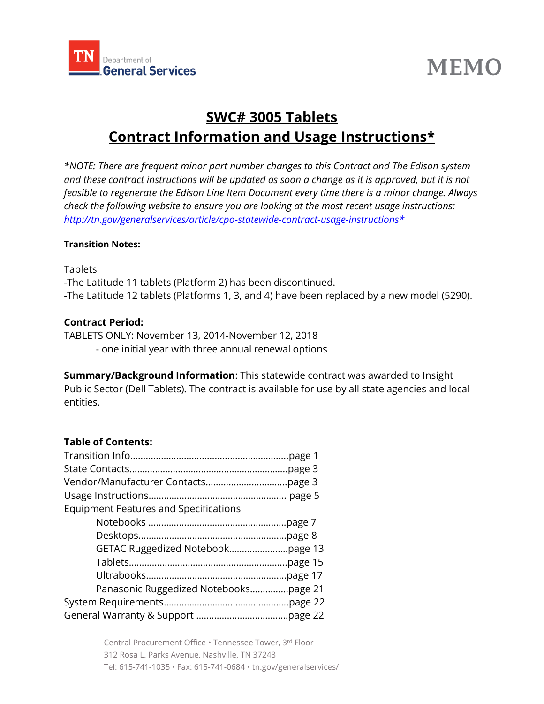

# **MEMO**

# **SWC# 3005 Tablets Contract Information and Usage Instructions\***

*\*NOTE: There are frequent minor part number changes to this Contract and The Edison system*  and these contract instructions will be updated as soon a change as it is approved, but it is not *feasible to regenerate the Edison Line Item Document every time there is a minor change. Always check the following website to ensure you are looking at the most recent usage instructions: [http://tn.gov/generalservices/article/cpo-statewide-contract-usage-instructions\\*](http://tn.gov/generalservices/article/cpo-statewide-contract-usage-instructions*)*

#### **Transition Notes:**

#### Tablets

-The Latitude 11 tablets (Platform 2) has been discontinued. -The Latitude 12 tablets (Platforms 1, 3, and 4) have been replaced by a new model (5290).

# **Contract Period:**

TABLETS ONLY: November 13, 2014-November 12, 2018

- one initial year with three annual renewal options

**Summary/Background Information**: This statewide contract was awarded to Insight Public Sector (Dell Tablets). The contract is available for use by all state agencies and local entities.

## **Table of Contents:**

| <b>Equipment Features and Specifications</b> |  |
|----------------------------------------------|--|
|                                              |  |
|                                              |  |
|                                              |  |
|                                              |  |
|                                              |  |
| Panasonic Ruggedized Notebookspage 21        |  |
|                                              |  |
|                                              |  |
|                                              |  |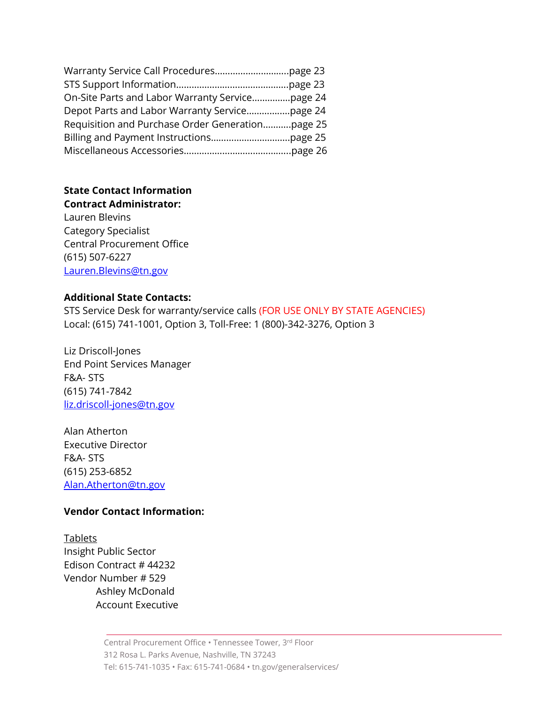| On-Site Parts and Labor Warranty Servicepage 24  |  |
|--------------------------------------------------|--|
|                                                  |  |
| Requisition and Purchase Order Generationpage 25 |  |
|                                                  |  |
|                                                  |  |

#### **State Contact Information Contract Administrator:**

Lauren Blevins Category Specialist Central Procurement Office (615) 507-6227 [Lauren.Blevins@tn.gov](mailto:Lauren.Blevins@tn.gov)

#### **Additional State Contacts:**

STS Service Desk for warranty/service calls (FOR USE ONLY BY STATE AGENCIES) Local: (615) 741-1001, Option 3, Toll-Free: 1 (800)-342-3276, Option 3

Liz Driscoll-Jones End Point Services Manager F&A- STS (615) 741-7842 [liz.driscoll-jones@tn.gov](mailto:liz.driscoll-jones@tn.gov)

Alan Atherton Executive Director F&A- STS (615) 253-6852 [Alan.Atherton@tn.gov](mailto:Alan.Atherton@tn.gov)

#### **Vendor Contact Information:**

Tablets Insight Public Sector Edison Contract # [44232](javascript:submitAction_win0(document.win0,) Vendor Number # 529 Ashley McDonald Account Executive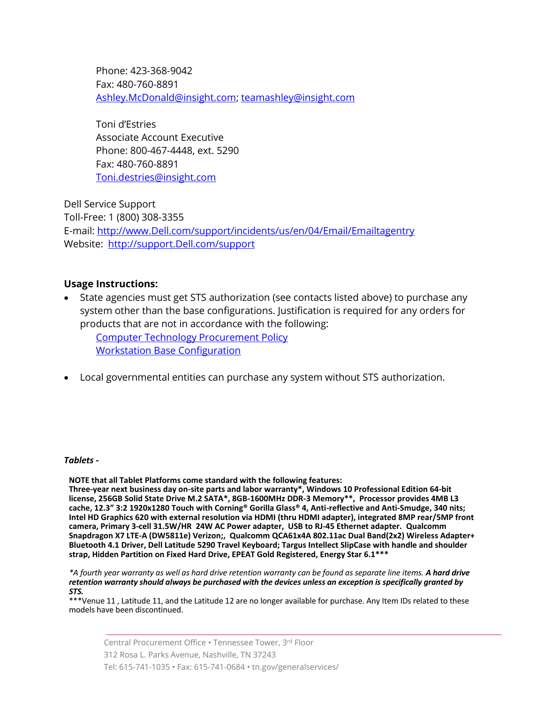Phone: 423-368-9042 Fax: 480-760-8891 [Ashley.McDonald@insight.com;](mailto:Ashley.McDonald@insight.com) [teamashley@insight.com](mailto:teamashley@insight.com)

Toni d'Estries Associate Account Executive Phone: 800-467-4448, ext. 5290 Fax: 480-760-8891 [Toni.destries@insight.com](mailto:Toni.destries@insight.com)

Dell Service Support Toll-Free: 1 (800) 308-3355 E-mail: [http://www.Dell.com/support/incidents/us/en/04/Email/Emailtagentry](http://www.dell.com/support/incidents/us/en/04/Email/Emailtagentry) Website: [http://support.Dell.com/support](http://support.dell.com/support)

#### **Usage Instructions:**

• State agencies must get STS authorization (see contacts listed above) to purchase any system other than the base configurations. Justification is required for any orders for products that are not in accordance with the following:

[Computer Technology Procurement Policy](http://teamtn.gov/assets/entities/sts/attachments/ISC_Computer_Technology_Procurement_Policy_v2.pdf) [Workstation Base Configuration](http://teamtn.gov/assets/entities/sts/attachments/workstation-laptop-base-config-2014jul.pdf) 

• Local governmental entities can purchase any system without STS authorization.

#### *Tablets -*

**NOTE that all Tablet Platforms come standard with the following features:**

**Three-year next business day on-site parts and labor warranty\*, Windows 10 Professional Edition 64-bit license, 256GB Solid State Drive M.2 SATA\*, 8GB-1600MHz DDR-3 Memory\*\*, Processor provides 4MB L3 cache, 12.3" 3:2 1920x1280 Touch with Corning® Gorilla Glass® 4, Anti-reflective and Anti-Smudge, 340 nits; Intel HD Graphics 620 with external resolution via HDMI (thru HDMI adapter), integrated 8MP rear/5MP front camera, Primary 3-cell 31.5W/HR 24W AC Power adapter, USB to RJ-45 Ethernet adapter. Qualcomm Snapdragon X7 LTE-A (DW5811e) Verizon;, Qualcomm QCA61x4A 802.11ac Dual Band(2x2) Wireless Adapter+ Bluetooth 4.1 Driver, Dell Latitude 5290 Travel Keyboard; Targus Intellect SlipCase with handle and shoulder strap, Hidden Partition on Fixed Hard Drive, EPEAT Gold Registered, Energy Star 6.1\*\*\***

*\*A fourth year warranty as well as hard drive retention warranty can be found as separate line items. A hard drive retention warranty should always be purchased with the devices unless an exception is specifically granted by STS.*

\*\*\*Venue 11 , Latitude 11, and the Latitude 12 are no longer available for purchase. Any Item IDs related to these models have been discontinued.

Central Procurement Office • Tennessee Tower, 3 rd Floor 312 Rosa L. Parks Avenue, Nashville, TN 37243 Tel: 615-741-1035 • Fax: 615-741-0684 • tn.gov/generalservices/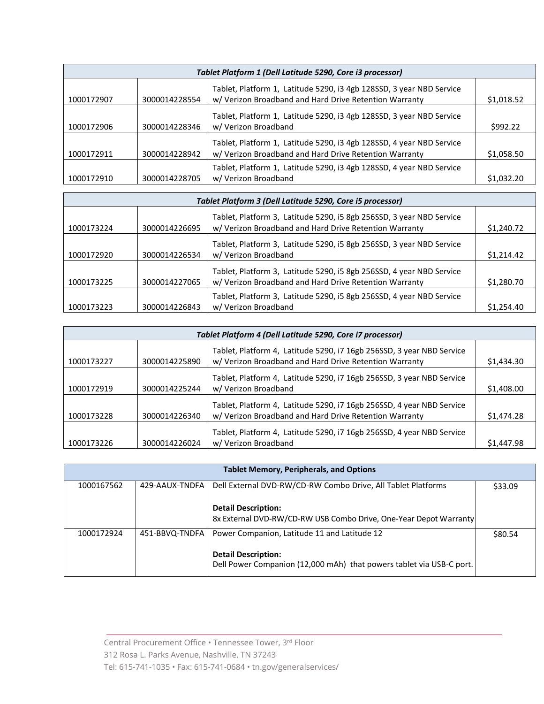| Tablet Platform 1 (Dell Latitude 5290, Core i3 processor) |               |                                                                                                                                |            |
|-----------------------------------------------------------|---------------|--------------------------------------------------------------------------------------------------------------------------------|------------|
| 1000172907                                                | 3000014228554 | Tablet, Platform 1, Latitude 5290, i3 4gb 128SSD, 3 year NBD Service<br>w/ Verizon Broadband and Hard Drive Retention Warranty | \$1,018.52 |
| 1000172906                                                | 3000014228346 | Tablet, Platform 1, Latitude 5290, i3 4gb 128SSD, 3 year NBD Service<br>w/ Verizon Broadband                                   | \$992.22   |
| 1000172911                                                | 3000014228942 | Tablet, Platform 1, Latitude 5290, i3 4gb 128SSD, 4 year NBD Service<br>w/ Verizon Broadband and Hard Drive Retention Warranty | \$1,058.50 |
| 1000172910                                                | 3000014228705 | Tablet, Platform 1, Latitude 5290, i3 4gb 128SSD, 4 year NBD Service<br>w/ Verizon Broadband                                   | \$1,032.20 |

| Tablet Platform 3 (Dell Latitude 5290, Core i5 processor) |               |                                                                                                                                |            |
|-----------------------------------------------------------|---------------|--------------------------------------------------------------------------------------------------------------------------------|------------|
| 1000173224                                                | 3000014226695 | Tablet, Platform 3, Latitude 5290, i5 8gb 256SSD, 3 year NBD Service<br>w/ Verizon Broadband and Hard Drive Retention Warranty | \$1,240.72 |
| 1000172920                                                | 3000014226534 | Tablet, Platform 3, Latitude 5290, i5 8gb 256SSD, 3 year NBD Service<br>w/ Verizon Broadband                                   | \$1,214.42 |
| 1000173225                                                | 3000014227065 | Tablet, Platform 3, Latitude 5290, i5 8gb 256SSD, 4 year NBD Service<br>w/ Verizon Broadband and Hard Drive Retention Warranty | \$1,280.70 |
| 1000173223                                                | 3000014226843 | Tablet, Platform 3, Latitude 5290, i5 8gb 256SSD, 4 year NBD Service<br>w/ Verizon Broadband                                   | \$1,254.40 |

|            | Tablet Platform 4 (Dell Latitude 5290, Core i7 processor) |                                                                                                                                 |            |
|------------|-----------------------------------------------------------|---------------------------------------------------------------------------------------------------------------------------------|------------|
| 1000173227 | 3000014225890                                             | Tablet, Platform 4, Latitude 5290, i7 16gb 256SSD, 3 year NBD Service<br>w/ Verizon Broadband and Hard Drive Retention Warranty | \$1,434.30 |
| 1000172919 | 3000014225244                                             | Tablet, Platform 4, Latitude 5290, i7 16gb 256SSD, 3 year NBD Service<br>w/ Verizon Broadband                                   | \$1,408.00 |
| 1000173228 | 3000014226340                                             | Tablet, Platform 4, Latitude 5290, i7 16gb 256SSD, 4 year NBD Service<br>w/ Verizon Broadband and Hard Drive Retention Warranty | \$1,474.28 |
| 1000173226 | 3000014226024                                             | Tablet, Platform 4, Latitude 5290, i7 16gb 256SSD, 4 year NBD Service<br>w/ Verizon Broadband                                   | \$1,447.98 |

| <b>Tablet Memory, Peripherals, and Options</b> |                |                                                                                                    |         |
|------------------------------------------------|----------------|----------------------------------------------------------------------------------------------------|---------|
| 1000167562                                     | 429-AAUX-TNDFA | Dell External DVD-RW/CD-RW Combo Drive, All Tablet Platforms                                       | \$33.09 |
|                                                |                | <b>Detail Description:</b><br>8x External DVD-RW/CD-RW USB Combo Drive, One-Year Depot Warranty    |         |
| 1000172924                                     | 451-BBVQ-TNDFA | Power Companion, Latitude 11 and Latitude 12                                                       | \$80.54 |
|                                                |                | <b>Detail Description:</b><br>Dell Power Companion (12,000 mAh) that powers tablet via USB-C port. |         |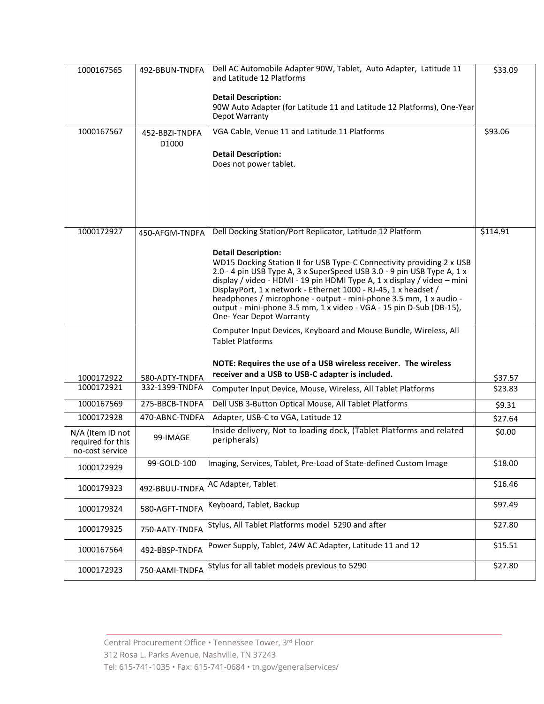| 1000167565                                                 | 492-BBUN-TNDFA                      | Dell AC Automobile Adapter 90W, Tablet, Auto Adapter, Latitude 11<br>and Latitude 12 Platforms<br><b>Detail Description:</b><br>90W Auto Adapter (for Latitude 11 and Latitude 12 Platforms), One-Year<br>Depot Warranty                                                                                                                                                                                                                                                                                                                                          | \$33.09  |
|------------------------------------------------------------|-------------------------------------|-------------------------------------------------------------------------------------------------------------------------------------------------------------------------------------------------------------------------------------------------------------------------------------------------------------------------------------------------------------------------------------------------------------------------------------------------------------------------------------------------------------------------------------------------------------------|----------|
| 1000167567                                                 | 452-BBZI-TNDFA<br>D <sub>1000</sub> | VGA Cable, Venue 11 and Latitude 11 Platforms<br><b>Detail Description:</b><br>Does not power tablet.                                                                                                                                                                                                                                                                                                                                                                                                                                                             | \$93.06  |
| 1000172927                                                 | 450-AFGM-TNDFA                      | Dell Docking Station/Port Replicator, Latitude 12 Platform<br><b>Detail Description:</b><br>WD15 Docking Station II for USB Type-C Connectivity providing 2 x USB<br>2.0 - 4 pin USB Type A, 3 x SuperSpeed USB 3.0 - 9 pin USB Type A, 1 x<br>display / video - HDMI - 19 pin HDMI Type A, 1 x display / video - mini<br>DisplayPort, 1 x network - Ethernet 1000 - RJ-45, 1 x headset /<br>headphones / microphone - output - mini-phone 3.5 mm, 1 x audio -<br>output - mini-phone 3.5 mm, 1 x video - VGA - 15 pin D-Sub (DB-15),<br>One- Year Depot Warranty | \$114.91 |
|                                                            |                                     | Computer Input Devices, Keyboard and Mouse Bundle, Wireless, All<br><b>Tablet Platforms</b><br>NOTE: Requires the use of a USB wireless receiver. The wireless                                                                                                                                                                                                                                                                                                                                                                                                    |          |
| 1000172922                                                 | 580-ADTY-TNDFA                      | receiver and a USB to USB-C adapter is included.                                                                                                                                                                                                                                                                                                                                                                                                                                                                                                                  | \$37.57  |
| 1000172921                                                 | 332-1399-TNDFA                      | Computer Input Device, Mouse, Wireless, All Tablet Platforms                                                                                                                                                                                                                                                                                                                                                                                                                                                                                                      | \$23.83  |
| 1000167569                                                 | 275-BBCB-TNDFA                      | Dell USB 3-Button Optical Mouse, All Tablet Platforms                                                                                                                                                                                                                                                                                                                                                                                                                                                                                                             | \$9.31   |
| 1000172928                                                 | 470-ABNC-TNDFA                      | Adapter, USB-C to VGA, Latitude 12                                                                                                                                                                                                                                                                                                                                                                                                                                                                                                                                | \$27.64  |
| $N/A$ (Item ID not<br>required for this<br>no-cost service | 99-IMAGE                            | Inside delivery, Not to loading dock, (Tablet Platforms and related<br>peripherals)                                                                                                                                                                                                                                                                                                                                                                                                                                                                               | \$0.00   |
| 1000172929                                                 | 99-GOLD-100                         | Imaging, Services, Tablet, Pre-Load of State-defined Custom Image                                                                                                                                                                                                                                                                                                                                                                                                                                                                                                 | \$18.00  |
| 1000179323                                                 | 492-BBUU-TNDFA                      | <b>AC Adapter, Tablet</b>                                                                                                                                                                                                                                                                                                                                                                                                                                                                                                                                         | \$16.46  |
| 1000179324                                                 | 580-AGFT-TNDFA                      | Keyboard, Tablet, Backup                                                                                                                                                                                                                                                                                                                                                                                                                                                                                                                                          | \$97.49  |
| 1000179325                                                 | 750-AATY-TNDFA                      | Stylus, All Tablet Platforms model 5290 and after                                                                                                                                                                                                                                                                                                                                                                                                                                                                                                                 | \$27.80  |
| 1000167564                                                 | 492-BBSP-TNDFA                      | Power Supply, Tablet, 24W AC Adapter, Latitude 11 and 12                                                                                                                                                                                                                                                                                                                                                                                                                                                                                                          | \$15.51  |
| 1000172923                                                 | 750-AAMI-TNDFA                      | Stylus for all tablet models previous to 5290                                                                                                                                                                                                                                                                                                                                                                                                                                                                                                                     | \$27.80  |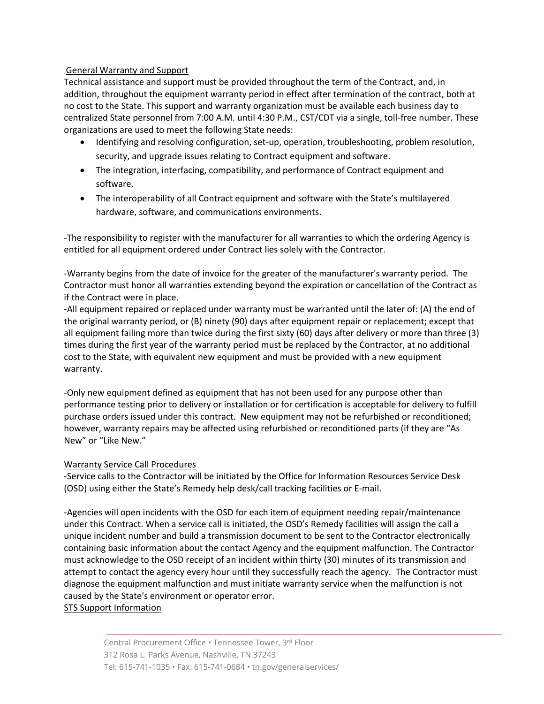#### General Warranty and Support

Technical assistance and support must be provided throughout the term of the Contract, and, in addition, throughout the equipment warranty period in effect after termination of the contract, both at no cost to the State. This support and warranty organization must be available each business day to centralized State personnel from 7:00 A.M. until 4:30 P.M., CST/CDT via a single, toll-free number. These organizations are used to meet the following State needs:

- Identifying and resolving configuration, set-up, operation, troubleshooting, problem resolution, security, and upgrade issues relating to Contract equipment and software.
- The integration, interfacing, compatibility, and performance of Contract equipment and software.
- The interoperability of all Contract equipment and software with the State's multilayered hardware, software, and communications environments.

-The responsibility to register with the manufacturer for all warranties to which the ordering Agency is entitled for all equipment ordered under Contract lies solely with the Contractor.

-Warranty begins from the date of invoice for the greater of the manufacturer's warranty period. The Contractor must honor all warranties extending beyond the expiration or cancellation of the Contract as if the Contract were in place.

-All equipment repaired or replaced under warranty must be warranted until the later of: (A) the end of the original warranty period, or (B) ninety (90) days after equipment repair or replacement; except that all equipment failing more than twice during the first sixty (60) days after delivery or more than three (3) times during the first year of the warranty period must be replaced by the Contractor, at no additional cost to the State, with equivalent new equipment and must be provided with a new equipment warranty.

-Only new equipment defined as equipment that has not been used for any purpose other than performance testing prior to delivery or installation or for certification is acceptable for delivery to fulfill purchase orders issued under this contract. New equipment may not be refurbished or reconditioned; however, warranty repairs may be affected using refurbished or reconditioned parts (if they are "As New" or "Like New."

#### Warranty Service Call Procedures

-Service calls to the Contractor will be initiated by the Office for Information Resources Service Desk (OSD) using either the State's Remedy help desk/call tracking facilities or E-mail.

-Agencies will open incidents with the OSD for each item of equipment needing repair/maintenance under this Contract. When a service call is initiated, the OSD's Remedy facilities will assign the call a unique incident number and build a transmission document to be sent to the Contractor electronically containing basic information about the contact Agency and the equipment malfunction. The Contractor must acknowledge to the OSD receipt of an incident within thirty (30) minutes of its transmission and attempt to contact the agency every hour until they successfully reach the agency. The Contractor must diagnose the equipment malfunction and must initiate warranty service when the malfunction is not caused by the State's environment or operator error.

STS Support Information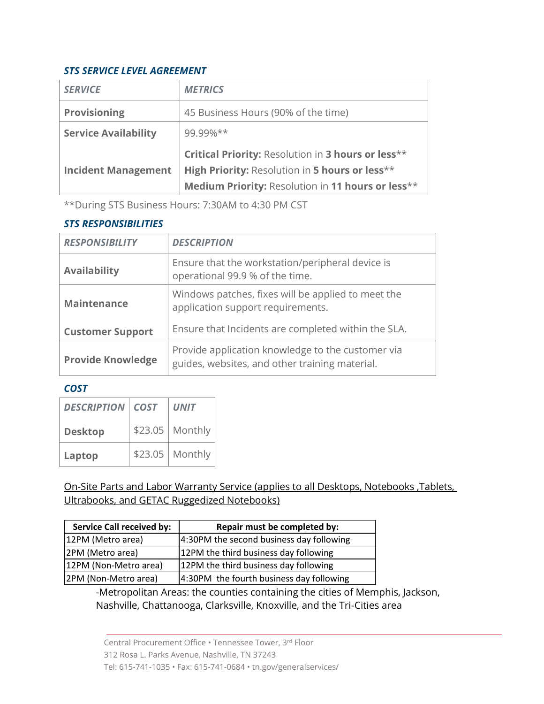# *STS SERVICE LEVEL AGREEMENT*

| <b>SERVICE</b>              | <b>METRICS</b>                                                                                      |
|-----------------------------|-----------------------------------------------------------------------------------------------------|
| <b>Provisioning</b>         | 45 Business Hours (90% of the time)                                                                 |
| <b>Service Availability</b> | 99.99%**                                                                                            |
|                             | Critical Priority: Resolution in 3 hours or less**                                                  |
|                             |                                                                                                     |
| <b>Incident Management</b>  | High Priority: Resolution in 5 hours or less**<br>Medium Priority: Resolution in 11 hours or less** |

\*\*During STS Business Hours: 7:30AM to 4:30 PM CST

# *STS RESPONSIBILITIES*

| <b>RESPONSIBILITY</b>    | <b>DESCRIPTION</b>                                                                                  |
|--------------------------|-----------------------------------------------------------------------------------------------------|
| <b>Availability</b>      | Ensure that the workstation/peripheral device is<br>operational 99.9 % of the time.                 |
| <b>Maintenance</b>       | Windows patches, fixes will be applied to meet the<br>application support requirements.             |
| <b>Customer Support</b>  | Ensure that Incidents are completed within the SLA.                                                 |
| <b>Provide Knowledge</b> | Provide application knowledge to the customer via<br>guides, websites, and other training material. |

# *COST*

| <b>DESCRIPTION</b> COST | <b>UNIT</b>       |
|-------------------------|-------------------|
| <b>Desktop</b>          | \$23.05   Monthly |
| Laptop                  | \$23.05   Monthly |

On-Site Parts and Labor Warranty Service (applies to all Desktops, Notebooks ,Tablets, Ultrabooks, and GETAC Ruggedized Notebooks)

| <b>Service Call received by:</b> | Repair must be completed by:             |
|----------------------------------|------------------------------------------|
| 12PM (Metro area)                | 4:30PM the second business day following |
| 2PM (Metro area)                 | 12PM the third business day following    |
| 12PM (Non-Metro area)            | 12PM the third business day following    |
| 2PM (Non-Metro area)             | 4:30PM the fourth business day following |

-Metropolitan Areas: the counties containing the cities of Memphis, Jackson, Nashville, Chattanooga, Clarksville, Knoxville, and the Tri-Cities area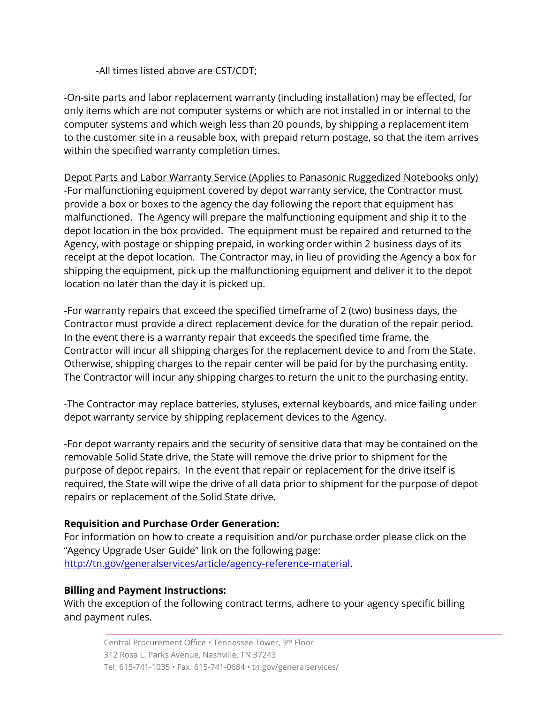-All times listed above are CST/CDT;

-On-site parts and labor replacement warranty (including installation) may be effected, for only items which are not computer systems or which are not installed in or internal to the computer systems and which weigh less than 20 pounds, by shipping a replacement item to the customer site in a reusable box, with prepaid return postage, so that the item arrives within the specified warranty completion times.

Depot Parts and Labor Warranty Service (Applies to Panasonic Ruggedized Notebooks only) -For malfunctioning equipment covered by depot warranty service, the Contractor must provide a box or boxes to the agency the day following the report that equipment has malfunctioned. The Agency will prepare the malfunctioning equipment and ship it to the depot location in the box provided. The equipment must be repaired and returned to the Agency, with postage or shipping prepaid, in working order within 2 business days of its receipt at the depot location. The Contractor may, in lieu of providing the Agency a box for shipping the equipment, pick up the malfunctioning equipment and deliver it to the depot location no later than the day it is picked up.

-For warranty repairs that exceed the specified timeframe of 2 (two) business days, the Contractor must provide a direct replacement device for the duration of the repair period. In the event there is a warranty repair that exceeds the specified time frame, the Contractor will incur all shipping charges for the replacement device to and from the State. Otherwise, shipping charges to the repair center will be paid for by the purchasing entity. The Contractor will incur any shipping charges to return the unit to the purchasing entity.

-The Contractor may replace batteries, styluses, external keyboards, and mice failing under depot warranty service by shipping replacement devices to the Agency.

-For depot warranty repairs and the security of sensitive data that may be contained on the removable Solid State drive, the State will remove the drive prior to shipment for the purpose of depot repairs. In the event that repair or replacement for the drive itself is required, the State will wipe the drive of all data prior to shipment for the purpose of depot repairs or replacement of the Solid State drive.

# **Requisition and Purchase Order Generation:**

For information on how to create a requisition and/or purchase order please click on the "Agency Upgrade User Guide" link on the following page: [http://tn.gov/generalservices/article/agency-reference-material.](http://tn.gov/generalservices/article/agency-reference-material)

## **Billing and Payment Instructions:**

With the exception of the following contract terms, adhere to your agency specific billing and payment rules.